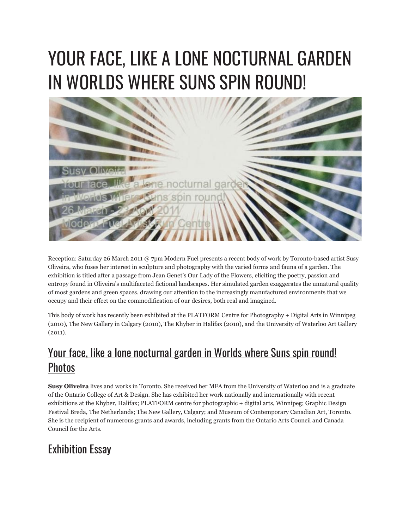## YOUR FACE, LIKE A LONE NOCTURNAL GARDEN IN WORLDS WHERE SUNS SPIN ROUND!



Reception: Saturday 26 March 2011 @ 7pm Modern Fuel presents a recent body of work by Toronto-based artist Susy Oliveira, who fuses her interest in sculpture and photography with the varied forms and fauna of a garden. The exhibition is titled after a passage from Jean Genet's Our Lady of the Flowers, eliciting the poetry, passion and entropy found in Oliveira's multifaceted fictional landscapes. Her simulated garden exaggerates the unnatural quality of most gardens and green spaces, drawing our attention to the increasingly manufactured environments that we occupy and their effect on the commodification of our desires, both real and imagined.

This body of work has recently been exhibited at the PLATFORM Centre for Photography + Digital Arts in Winnipeg (2010), The New Gallery in Calgary (2010), The Khyber in Halifax (2010), and the University of Waterloo Art Gallery (2011).

## Your face, like a lone [nocturnal](http://www.flickr.com/photos/modernfuel/sets/72157626858853415/) garden in Worlds where Suns spin round! **[Photos](http://www.flickr.com/photos/modernfuel/sets/72157626858853415/)**

**Susy Oliveira** lives and works in Toronto. She received her MFA from the University of Waterloo and is a graduate of the Ontario College of Art & Design. She has exhibited her work nationally and internationally with recent exhibitions at the Khyber, Halifax; PLATFORM centre for photographic + digital arts, Winnipeg; Graphic Design Festival Breda, The Netherlands; The New Gallery, Calgary; and Museum of Contemporary Canadian Art, Toronto. She is the recipient of numerous grants and awards, including grants from the Ontario Arts Council and Canada Council for the Arts.

## Exhibition Essay